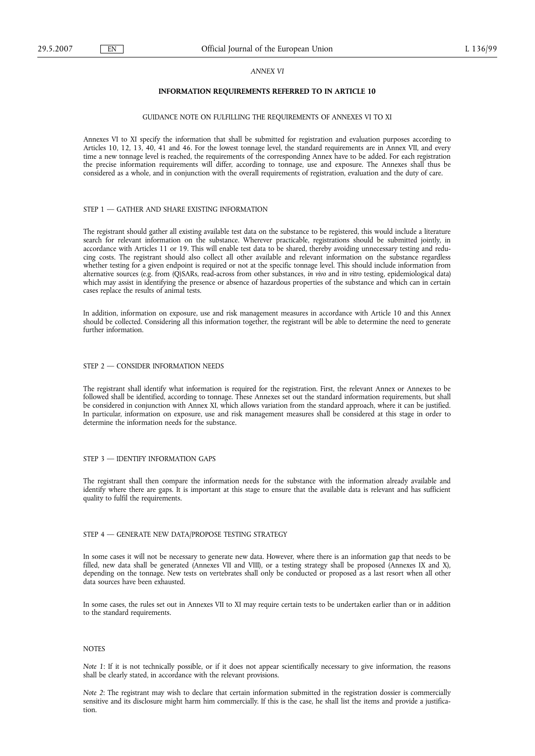#### *ANNEX VI*

## **INFORMATION REQUIREMENTS REFERRED TO IN ARTICLE 10**

#### GUIDANCE NOTE ON FULFILLING THE REQUIREMENTS OF ANNEXES VI TO XI

Annexes VI to XI specify the information that shall be submitted for registration and evaluation purposes according to Articles 10, 12, 13, 40, 41 and 46. For the lowest tonnage level, the standard requirements are in Annex VII, and every time a new tonnage level is reached, the requirements of the corresponding Annex have to be added. For each registration the precise information requirements will differ, according to tonnage, use and exposure. The Annexes shall thus be considered as a whole, and in conjunction with the overall requirements of registration, evaluation and the duty of care.

#### STEP 1 — GATHER AND SHARE EXISTING INFORMATION

The registrant should gather all existing available test data on the substance to be registered, this would include a literature search for relevant information on the substance. Wherever practicable, registrations should be submitted jointly, in accordance with Articles 11 or 19. This will enable test data to be shared, thereby avoiding unnecessary testing and reducing costs. The registrant should also collect all other available and relevant information on the substance regardless whether testing for a given endpoint is required or not at the specific tonnage level. This should include information from alternative sources (e.g. from (Q)SARs, read-across from other substances, *in vivo* and *in vitro* testing, epidemiological data) which may assist in identifying the presence or absence of hazardous properties of the substance and which can in certain cases replace the results of animal tests.

In addition, information on exposure, use and risk management measures in accordance with Article 10 and this Annex should be collected. Considering all this information together, the registrant will be able to determine the need to generate further information.

## STEP 2 — CONSIDER INFORMATION NEEDS

The registrant shall identify what information is required for the registration. First, the relevant Annex or Annexes to be followed shall be identified, according to tonnage. These Annexes set out the standard information requirements, but shall be considered in conjunction with Annex XI, which allows variation from the standard approach, where it can be justified. In particular, information on exposure, use and risk management measures shall be considered at this stage in order to determine the information needs for the substance.

## STEP 3 — IDENTIFY INFORMATION GAPS

The registrant shall then compare the information needs for the substance with the information already available and identify where there are gaps. It is important at this stage to ensure that the available data is relevant and has sufficient quality to fulfil the requirements.

## STEP 4 — GENERATE NEW DATA/PROPOSE TESTING STRATEGY

In some cases it will not be necessary to generate new data. However, where there is an information gap that needs to be filled, new data shall be generated (Annexes VII and VIII), or a testing strategy shall be proposed (Annexes IX and X), depending on the tonnage. New tests on vertebrates shall only be conducted or proposed as a last resort when all other data sources have been exhausted.

In some cases, the rules set out in Annexes VII to XI may require certain tests to be undertaken earlier than or in addition to the standard requirements.

## **NOTES**

*Note 1*: If it is not technically possible, or if it does not appear scientifically necessary to give information, the reasons shall be clearly stated, in accordance with the relevant provisions.

*Note 2*: The registrant may wish to declare that certain information submitted in the registration dossier is commercially sensitive and its disclosure might harm him commercially. If this is the case, he shall list the items and provide a justification.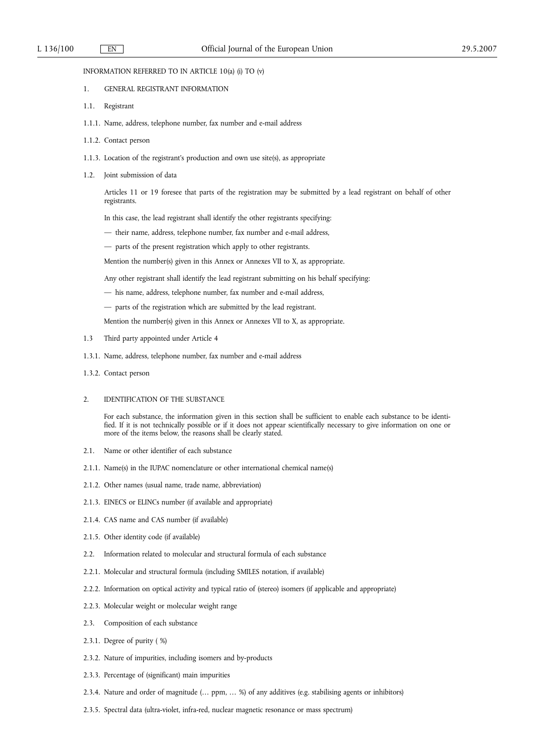INFORMATION REFERRED TO IN ARTICLE 10(a) (i) TO (v)

- 1. GENERAL REGISTRANT INFORMATION
- 1.1. Registrant
- 1.1.1. Name, address, telephone number, fax number and e-mail address
- 1.1.2. Contact person
- 1.1.3. Location of the registrant's production and own use site(s), as appropriate
- 1.2. Joint submission of data

Articles 11 or 19 foresee that parts of the registration may be submitted by a lead registrant on behalf of other registrants.

- In this case, the lead registrant shall identify the other registrants specifying:
- their name, address, telephone number, fax number and e-mail address,
- parts of the present registration which apply to other registrants.

Mention the number(s) given in this Annex or Annexes VII to X, as appropriate.

Any other registrant shall identify the lead registrant submitting on his behalf specifying:

- his name, address, telephone number, fax number and e-mail address,
- parts of the registration which are submitted by the lead registrant.

Mention the number(s) given in this Annex or Annexes VII to X, as appropriate.

- 1.3 Third party appointed under Article 4
- 1.3.1. Name, address, telephone number, fax number and e-mail address
- 1.3.2. Contact person
- 2. IDENTIFICATION OF THE SUBSTANCE

For each substance, the information given in this section shall be sufficient to enable each substance to be identified. If it is not technically possible or if it does not appear scientifically necessary to give information on one or more of the items below, the reasons shall be clearly stated.

- 2.1. Name or other identifier of each substance
- 2.1.1. Name(s) in the IUPAC nomenclature or other international chemical name(s)
- 2.1.2. Other names (usual name, trade name, abbreviation)
- 2.1.3. EINECS or ELINCs number (if available and appropriate)
- 2.1.4. CAS name and CAS number (if available)
- 2.1.5. Other identity code (if available)
- 2.2. Information related to molecular and structural formula of each substance
- 2.2.1. Molecular and structural formula (including SMILES notation, if available)
- 2.2.2. Information on optical activity and typical ratio of (stereo) isomers (if applicable and appropriate)
- 2.2.3. Molecular weight or molecular weight range
- 2.3. Composition of each substance
- 2.3.1. Degree of purity ( %)
- 2.3.2. Nature of impurities, including isomers and by-products
- 2.3.3. Percentage of (significant) main impurities
- 2.3.4. Nature and order of magnitude (… ppm, … %) of any additives (e.g. stabilising agents or inhibitors)
- 2.3.5. Spectral data (ultra-violet, infra-red, nuclear magnetic resonance or mass spectrum)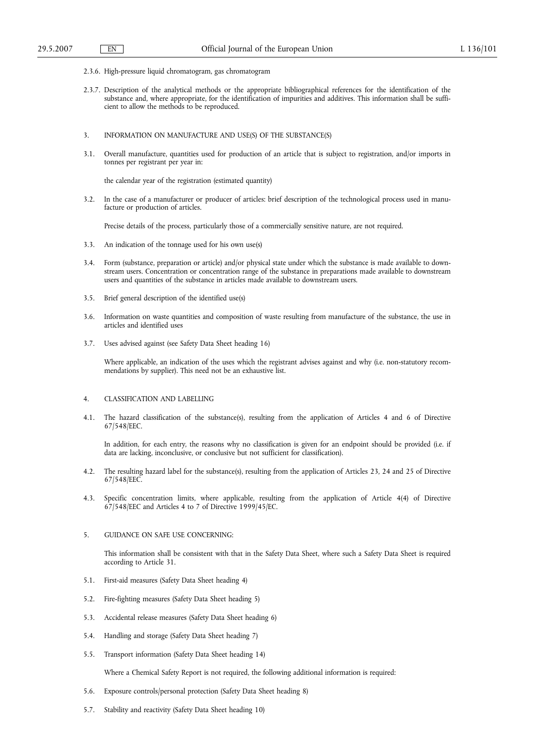- 2.3.6. High-pressure liquid chromatogram, gas chromatogram
- 2.3.7. Description of the analytical methods or the appropriate bibliographical references for the identification of the substance and, where appropriate, for the identification of impurities and additives. This information shall be sufficient to allow the methods to be reproduced.
- 3. INFORMATION ON MANUFACTURE AND USE(S) OF THE SUBSTANCE(S)
- 3.1. Overall manufacture, quantities used for production of an article that is subject to registration, and/or imports in tonnes per registrant per year in:

the calendar year of the registration (estimated quantity)

3.2. In the case of a manufacturer or producer of articles: brief description of the technological process used in manufacture or production of articles.

Precise details of the process, particularly those of a commercially sensitive nature, are not required.

- 3.3. An indication of the tonnage used for his own use(s)
- 3.4. Form (substance, preparation or article) and/or physical state under which the substance is made available to downstream users. Concentration or concentration range of the substance in preparations made available to downstream users and quantities of the substance in articles made available to downstream users.
- 3.5. Brief general description of the identified use(s)
- 3.6. Information on waste quantities and composition of waste resulting from manufacture of the substance, the use in articles and identified uses
- 3.7. Uses advised against (see Safety Data Sheet heading 16)

Where applicable, an indication of the uses which the registrant advises against and why (i.e. non-statutory recommendations by supplier). This need not be an exhaustive list.

- 4. CLASSIFICATION AND LABELLING
- 4.1. The hazard classification of the substance(s), resulting from the application of Articles 4 and 6 of Directive 67/548/EEC.

In addition, for each entry, the reasons why no classification is given for an endpoint should be provided (i.e. if data are lacking, inconclusive, or conclusive but not sufficient for classification).

- 4.2. The resulting hazard label for the substance(s), resulting from the application of Articles 23, 24 and 25 of Directive 67/548/EEC.
- 4.3. Specific concentration limits, where applicable, resulting from the application of Article 4(4) of Directive  $67/548$ /EEC and Articles 4 to 7 of Directive 1999/45/EC.

# 5. GUIDANCE ON SAFE USE CONCERNING:

This information shall be consistent with that in the Safety Data Sheet, where such a Safety Data Sheet is required according to Article 31.

- 5.1. First-aid measures (Safety Data Sheet heading 4)
- 5.2. Fire-fighting measures (Safety Data Sheet heading 5)
- 5.3. Accidental release measures (Safety Data Sheet heading 6)
- 5.4. Handling and storage (Safety Data Sheet heading 7)
- 5.5. Transport information (Safety Data Sheet heading 14)

Where a Chemical Safety Report is not required, the following additional information is required:

- 5.6. Exposure controls/personal protection (Safety Data Sheet heading 8)
- 5.7. Stability and reactivity (Safety Data Sheet heading 10)